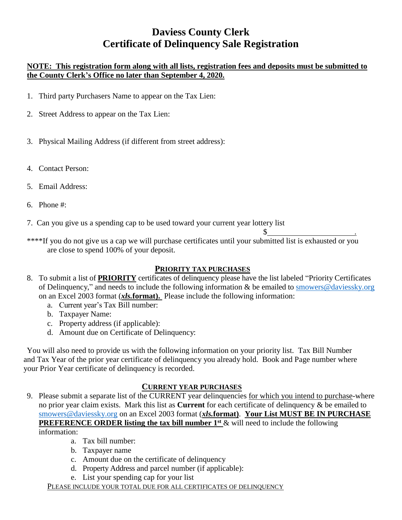# **Daviess County Clerk Certificate of Delinquency Sale Registration**

#### **NOTE: This registration form along with all lists, registration fees and deposits must be submitted to the County Clerk's Office no later than September 4, 2020.**

- 1. Third party Purchasers Name to appear on the Tax Lien:
- 2. Street Address to appear on the Tax Lien:
- 3. Physical Mailing Address (if different from street address):
- 4. Contact Person:
- 5. Email Address:
- 6. Phone #:

7. Can you give us a spending cap to be used toward your current year lottery list

\*\*\*\*If you do not give us a cap we will purchase certificates until your submitted list is exhausted or you are close to spend 100% of your deposit.

### **PRIORITY TAX PURCHASES**

 $\frac{\S_{\frac{1}{2}}}{\S_{\frac{1}{2}}}\qquad \qquad \frac{\S_{\frac{1}{2}}}{\S_{\frac{1}{2}}}\qquad \qquad \frac{\S_{\frac{1}{2}}}{\S_{\frac{1}{2}}}\qquad \qquad \frac{\S_{\frac{1}{2}}}{\S_{\frac{1}{2}}}\qquad \qquad \frac{\S_{\frac{1}{2}}}{\S_{\frac{1}{2}}}\qquad \qquad \frac{\S_{\frac{1}{2}}}{\S_{\frac{1}{2}}}\qquad \qquad \frac{\S_{\frac{1}{2}}}{\S_{\frac{1}{2}}}\qquad \qquad \frac{\S_{\frac{1}{2}}}{\S_{\$ 

- 8. To submit a list of **PRIORITY** certificates of delinquency please have the list labeled "Priority Certificates of Delinquency," and needs to include the following information & be emailed to [smowers@daviessky.org](mailto:smowers@daviessky.org) on an Excel 2003 format (*xls.***format).** Please include the following information:
	- a. Current year's Tax Bill number:
	- b. Taxpayer Name:
	- c. Property address (if applicable):
	- d. Amount due on Certificate of Delinquency:

You will also need to provide us with the following information on your priority list. Tax Bill Number and Tax Year of the prior year certificate of delinquency you already hold. Book and Page number where your Prior Year certificate of delinquency is recorded.

#### **CURRENT YEAR PURCHASES**

9. Please submit a separate list of the CURRENT year delinquencies for which you intend to purchase-where no prior year claim exists. Mark this list as **Current** for each certificate of delinquency & be emailed to [smowers@daviessky.org](mailto:smowers@daviessky.org) on an Excel 2003 format (*xls.***format)**. **Your List MUST BE IN PURCHASE PREFERENCE ORDER listing the tax bill number 1<sup>st</sup> & will need to include the following** 

information:

- a. Tax bill number:
- b. Taxpayer name
- c. Amount due on the certificate of delinquency
- d. Property Address and parcel number (if applicable):
- e. List your spending cap for your list

PLEASE INCLUDE YOUR TOTAL DUE FOR ALL CERTIFICATES OF DELINQUENCY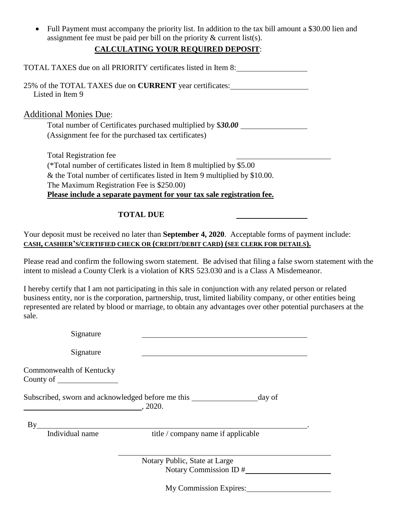• Full Payment must accompany the priority list. In addition to the tax bill amount a \$30.00 lien and assignment fee must be paid per bill on the priority & current list(s).

### **CALCULATING YOUR REQUIRED DEPOSIT**:

| TOTAL TAXES due on all PRIORITY certificates listed in Item 8:                                                                                                                                                 |
|----------------------------------------------------------------------------------------------------------------------------------------------------------------------------------------------------------------|
| 25% of the TOTAL TAXES due on <b>CURRENT</b> year certificates:<br>Listed in Item 9                                                                                                                            |
| <b>Additional Monies Due:</b>                                                                                                                                                                                  |
| Total number of Certificates purchased multiplied by \$30.00                                                                                                                                                   |
| (Assignment fee for the purchased tax certificates)                                                                                                                                                            |
| <b>Total Registration fee</b>                                                                                                                                                                                  |
| (*Total number of certificates listed in Item 8 multiplied by \$5.00)                                                                                                                                          |
| & the Total number of certificates listed in Item 9 multiplied by \$10.00.                                                                                                                                     |
| The Maximum Registration Fee is \$250.00)                                                                                                                                                                      |
| Please include a separate payment for your tax sale registration fee.                                                                                                                                          |
| <b>TOTAL DUE</b>                                                                                                                                                                                               |
| Your deposit must be received no later than September 4, 2020. Acceptable forms of payment include:<br>CASH, CASHIER'S/CERTIFIED CHECK OR (CREDIT/DEBIT CARD) (SEE CLERK FOR DETAILS).                         |
| Please read and confirm the following sworn statement. Be advised that filing a false sworn statement with the<br>intent to mislead a County Clerk is a violation of KRS 523.030 and is a Class A Misdemeanor. |

I hereby certify that I am not participating in this sale in conjunction with any related person or related business entity, nor is the corporation, partnership, trust, limited liability company, or other entities being represented are related by blood or marriage, to obtain any advantages over other potential purchasers at the sale.

| Signature                |                                                                       |
|--------------------------|-----------------------------------------------------------------------|
| Signature                |                                                                       |
| Commonwealth of Kentucky |                                                                       |
|                          | Subscribed, sworn and acknowledged before me this<br>day of<br>.2020. |
| By<br>Individual name    | title / company name if applicable                                    |
|                          | Notary Public, State at Large<br>Notary Commission ID #               |
|                          | My Commission Expires:                                                |